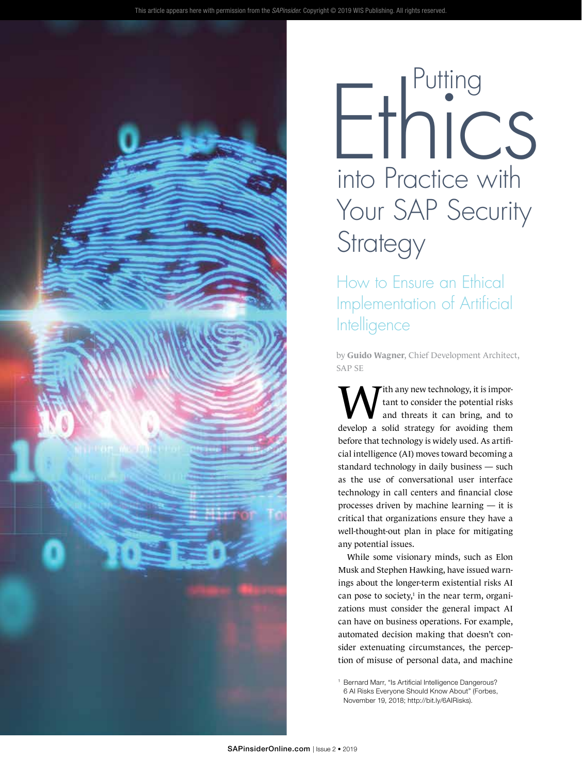

# into Practice with Your SAP Security **Strategy** Ethics

How to Ensure an Ethical Implementation of Artificial **Intelligence** 

by **Guido Wagner**, Chief Development Architect, SAP SE

With any new technology, it is impor-<br>tant to consider the potential risks<br>and threats it can bring, and to<br>three possible three formations through tant to consider the potential risks and threats it can bring, and to develop a solid strategy for avoiding them before that technology is widely used. As artificial intelligence (AI) moves toward becoming a standard technology in daily business — such as the use of conversational user interface technology in call centers and financial close processes driven by machine learning — it is critical that organizations ensure they have a well-thought-out plan in place for mitigating any potential issues.

While some visionary minds, such as Elon Musk and Stephen Hawking, have issued warnings about the longer-term existential risks AI can pose to society, $\frac{1}{2}$  in the near term, organizations must consider the general impact AI can have on business operations. For example, automated decision making that doesn't consider extenuating circumstances, the perception of misuse of personal data, and machine

<sup>1</sup> Bernard Marr, "Is Artificial Intelligence Dangerous? 6 AI Risks Everyone Should Know About" (Forbes, November 19, 2018; [http://bit.ly/6AIRisks\)](http://bit.ly/6AIRisks).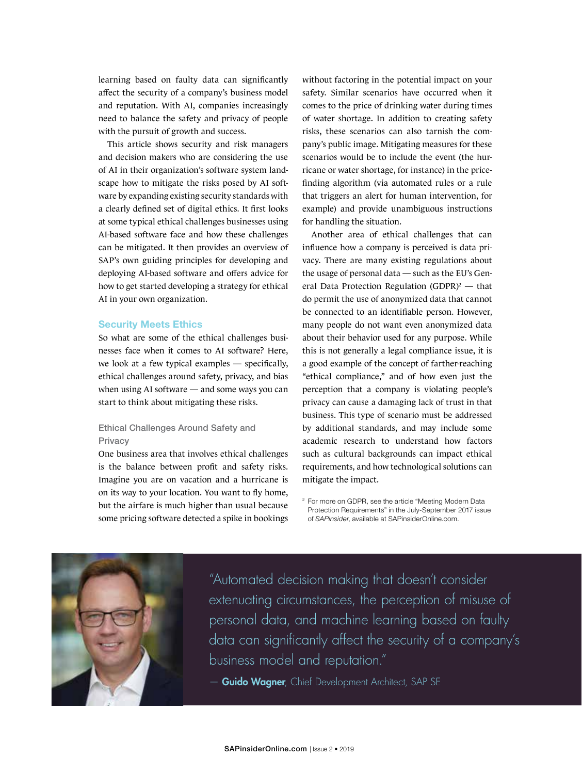learning based on faulty data can significantly affect the security of a company's business model and reputation. With AI, companies increasingly need to balance the safety and privacy of people with the pursuit of growth and success.

This article shows security and risk managers and decision makers who are considering the use of AI in their organization's software system landscape how to mitigate the risks posed by AI software by expanding existing security standards with a clearly defined set of digital ethics. It first looks at some typical ethical challenges businesses using AI-based software face and how these challenges can be mitigated. It then provides an overview of SAP's own guiding principles for developing and deploying AI-based software and offers advice for how to get started developing a strategy for ethical AI in your own organization.

#### Security Meets Ethics

So what are some of the ethical challenges businesses face when it comes to AI software? Here, we look at a few typical examples — specifically, ethical challenges around safety, privacy, and bias when using AI software — and some ways you can start to think about mitigating these risks.

# Ethical Challenges Around Safety and **Privacy**

One business area that involves ethical challenges is the balance between profit and safety risks. Imagine you are on vacation and a hurricane is on its way to your location. You want to fly home, but the airfare is much higher than usual because some pricing software detected a spike in bookings without factoring in the potential impact on your safety. Similar scenarios have occurred when it comes to the price of drinking water during times of water shortage. In addition to creating safety risks, these scenarios can also tarnish the company's public image. Mitigating measures for these scenarios would be to include the event (the hurricane or water shortage, for instance) in the pricefinding algorithm (via automated rules or a rule that triggers an alert for human intervention, for example) and provide unambiguous instructions for handling the situation.

Another area of ethical challenges that can influence how a company is perceived is data privacy. There are many existing regulations about the usage of personal data — such as the EU's General Data Protection Regulation (GDPR)<sup>2</sup> — that do permit the use of anonymized data that cannot be connected to an identifiable person. However, many people do not want even anonymized data about their behavior used for any purpose. While this is not generally a legal compliance issue, it is a good example of the concept of farther-reaching "ethical compliance," and of how even just the perception that a company is violating people's privacy can cause a damaging lack of trust in that business. This type of scenario must be addressed by additional standards, and may include some academic research to understand how factors such as cultural backgrounds can impact ethical requirements, and how technological solutions can mitigate the impact.



"Automated decision making that doesn't consider extenuating circumstances, the perception of misuse of personal data, and machine learning based on faulty data can significantly affect the security of a company's business model and reputation."

- Guido Wagner, Chief Development Architect, SAP SE

<sup>2</sup> For more on GDPR, see the article ["Meeting Modern Data](https://sapinsider.wispubs.com/Assets/Articles/2017/August/SPI-Meeting-Modern-Data-Protection-Requirements)  [Protection Requirements"](https://sapinsider.wispubs.com/Assets/Articles/2017/August/SPI-Meeting-Modern-Data-Protection-Requirements) in the July-September 2017 issue of *SAPinsider*, available at [SAPinsiderOnline.com.](https://SAPinsiderOnline.com)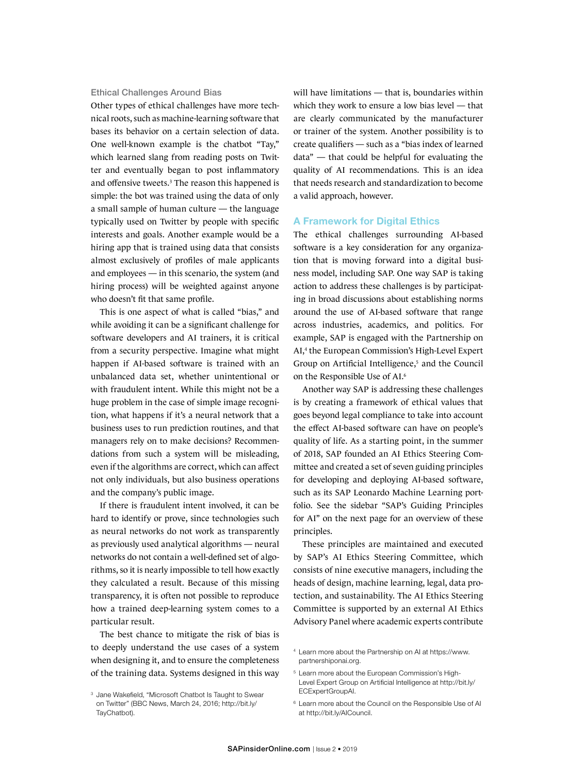### Ethical Challenges Around Bias

Other types of ethical challenges have more technical roots, such as machine-learning software that bases its behavior on a certain selection of data. One well-known example is the chatbot "Tay," which learned slang from reading posts on Twitter and eventually began to post inflammatory and offensive tweets.<sup>3</sup> The reason this happened is simple: the bot was trained using the data of only a small sample of human culture — the language typically used on Twitter by people with specific interests and goals. Another example would be a hiring app that is trained using data that consists almost exclusively of profiles of male applicants and employees — in this scenario, the system (and hiring process) will be weighted against anyone who doesn't fit that same profile.

This is one aspect of what is called "bias," and while avoiding it can be a significant challenge for software developers and AI trainers, it is critical from a security perspective. Imagine what might happen if AI-based software is trained with an unbalanced data set, whether unintentional or with fraudulent intent. While this might not be a huge problem in the case of simple image recognition, what happens if it's a neural network that a business uses to run prediction routines, and that managers rely on to make decisions? Recommendations from such a system will be misleading, even if the algorithms are correct, which can affect not only individuals, but also business operations and the company's public image.

If there is fraudulent intent involved, it can be hard to identify or prove, since technologies such as neural networks do not work as transparently as previously used analytical algorithms — neural networks do not contain a well-defined set of algorithms, so it is nearly impossible to tell how exactly they calculated a result. Because of this missing transparency, it is often not possible to reproduce how a trained deep-learning system comes to a particular result.

The best chance to mitigate the risk of bias is to deeply understand the use cases of a system when designing it, and to ensure the completeness of the training data. Systems designed in this way will have limitations — that is, boundaries within which they work to ensure a low bias level — that are clearly communicated by the manufacturer or trainer of the system. Another possibility is to create qualifiers — such as a "bias index of learned data" — that could be helpful for evaluating the quality of AI recommendations. This is an idea that needs research and standardization to become a valid approach, however.

#### A Framework for Digital Ethics

The ethical challenges surrounding AI-based software is a key consideration for any organization that is moving forward into a digital business model, including SAP. One way SAP is taking action to address these challenges is by participating in broad discussions about establishing norms around the use of AI-based software that range across industries, academics, and politics. For example, SAP is engaged with the Partnership on AI,4 the European Commission's High-Level Expert Group on Artificial Intelligence,<sup>5</sup> and the Council on the Responsible Use of AI.6

Another way SAP is addressing these challenges is by creating a framework of ethical values that goes beyond legal compliance to take into account the effect AI-based software can have on people's quality of life. As a starting point, in the summer of 2018, SAP founded an AI Ethics Steering Committee and created a set of seven guiding principles for developing and deploying AI-based software, such as its SAP Leonardo Machine Learning portfolio. See the sidebar "SAP's Guiding Principles for AI" on the next page for an overview of these principles.

These principles are maintained and executed by SAP's AI Ethics Steering Committee, which consists of nine executive managers, including the heads of design, machine learning, legal, data protection, and sustainability. The AI Ethics Steering Committee is supported by an external AI Ethics Advisory Panel where academic experts contribute

- <sup>4</sup> Learn more about the Partnership on AI at [https://www.](https://www.partnershiponai.org) [partnershiponai.org](https://www.partnershiponai.org).
- <sup>5</sup> Learn more about the European Commission's High-Level Expert Group on Artificial Intelligence at [http://bit.ly/](http://bit.ly/ECExpertGroupAI) [ECExpertGroupAI.](http://bit.ly/ECExpertGroupAI)
- <sup>6</sup> Learn more about the Council on the Responsible Use of AI at [http://bit.ly/AICouncil.](http://bit.ly/AICouncil)

<sup>&</sup>lt;sup>3</sup> Jane Wakefield, "Microsoft Chatbot Is Taught to Swear on Twitter" (BBC News, March 24, 2016; [http://bit.ly/](http://bit.ly/TayChatbot) [TayChatbot\)](http://bit.ly/TayChatbot).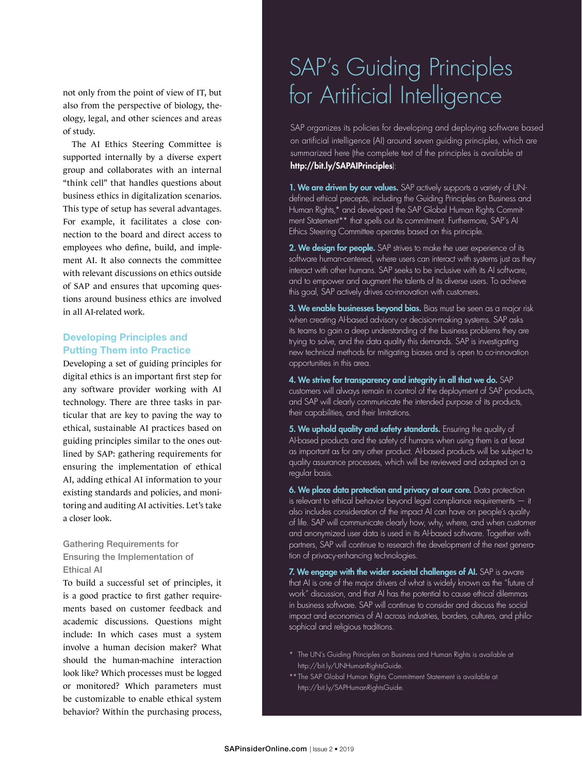not only from the point of view of IT, but also from the perspective of biology, theology, legal, and other sciences and areas of study.

The AI Ethics Steering Committee is supported internally by a diverse expert group and collaborates with an internal "think cell" that handles questions about business ethics in digitalization scenarios. This type of setup has several advantages. For example, it facilitates a close connection to the board and direct access to employees who define, build, and implement AI. It also connects the committee with relevant discussions on ethics outside of SAP and ensures that upcoming questions around business ethics are involved in all AI-related work.

# Developing Principles and Putting Them into Practice

Developing a set of guiding principles for digital ethics is an important first step for any software provider working with AI technology. There are three tasks in particular that are key to paving the way to ethical, sustainable AI practices based on guiding principles similar to the ones outlined by SAP: gathering requirements for ensuring the implementation of ethical AI, adding ethical AI information to your existing standards and policies, and monitoring and auditing AI activities. Let's take a closer look.

# Gathering Requirements for Ensuring the Implementation of Ethical AI

To build a successful set of principles, it is a good practice to first gather requirements based on customer feedback and academic discussions. Questions might include: In which cases must a system involve a human decision maker? What should the human-machine interaction look like? Which processes must be logged or monitored? Which parameters must be customizable to enable ethical system behavior? Within the purchasing process,

# SAP's Guiding Principles for Artificial Intelligence

SAP organizes its policies for developing and deploying software based on artificial intelligence (AI) around seven guiding principles, which are summarized here (the complete text of the principles is available at <http://bit.ly/SAPAIPrinciples>):

1. We are driven by our values. SAP actively supports a variety of UNdefined ethical precepts, including the Guiding Principles on Business and Human Rights,\* and developed the SAP Global Human Rights Commitment Statement\*\* that spells out its commitment. Furthermore, SAP's AI Ethics Steering Committee operates based on this principle.

2. We design for people. SAP strives to make the user experience of its software human-centered, where users can interact with systems just as they interact with other humans. SAP seeks to be inclusive with its AI software, and to empower and augment the talents of its diverse users. To achieve this goal, SAP actively drives co-innovation with customers.

3. We enable businesses beyond bias. Bias must be seen as a major risk when creating AI-based advisory or decision-making systems. SAP asks its teams to gain a deep understanding of the business problems they are trying to solve, and the data quality this demands. SAP is investigating new technical methods for mitigating biases and is open to co-innovation opportunities in this area.

4. We strive for transparency and integrity in all that we do. SAP customers will always remain in control of the deployment of SAP products, and SAP will clearly communicate the intended purpose of its products, their capabilities, and their limitations.

5. We uphold quality and safety standards. Ensuring the quality of AI-based products and the safety of humans when using them is at least as important as for any other product. AI-based products will be subject to quality assurance processes, which will be reviewed and adapted on a regular basis.

6. We place data protection and privacy at our core. Data protection is relevant to ethical behavior beyond legal compliance requirements — it also includes consideration of the impact AI can have on people's quality of life. SAP will communicate clearly how, why, where, and when customer and anonymized user data is used in its AI-based software. Together with partners, SAP will continue to research the development of the next generation of privacy-enhancing technologies.

7. We engage with the wider societal challenges of AI. SAP is aware that AI is one of the major drivers of what is widely known as the "future of work" discussion, and that AI has the potential to cause ethical dilemmas in business software. SAP will continue to consider and discuss the social impact and economics of AI across industries, borders, cultures, and philosophical and religious traditions.

- \* The UN's Guiding Principles on Business and Human Rights is available at [http://bit.ly/UNHumanRightsGuide.](http://bit.ly/UNHumanRightsGuide)
- \*\*The SAP Global Human Rights Commitment Statement is available at [http://bit.ly/SAPHumanRightsGuide.](http://bit.ly/SAPHumanRightsGuide)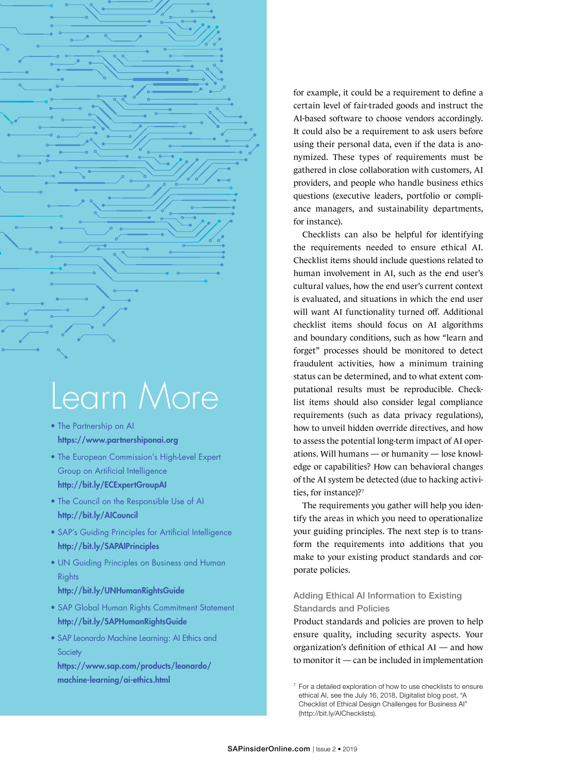

- The Partnership on AI <https://www.partnershiponai.org>
- The European Commission's High-Level Expert Group on Artificial Intelligence <http://bit.ly/ECExpertGroupAI>
- The Council on the Responsible Use of AI <http://bit.ly/AICouncil>
- SAP's Guiding Principles for Artificial Intelligence <http://bit.ly/SAPAIPrinciples>
- UN Guiding Principles on Business and Human **Rights**

## <http://bit.ly/UNHumanRightsGuide>

- SAP Global Human Rights Commitment Statement <http://bit.ly/SAPHumanRightsGuide>
- SAP Leonardo Machine Learning: AI Ethics and **Society** [https://www.sap.com/products/leonardo/](https://www.sap.com/products/leonardo/machine-learning/ai-ethics.html)

[machine-learning/ai-ethics.html](https://www.sap.com/products/leonardo/machine-learning/ai-ethics.html)

for example, it could be a requirement to define a certain level of fair-traded goods and instruct the AI-based software to choose vendors accordingly. It could also be a requirement to ask users before using their personal data, even if the data is anonymized. These types of requirements must be gathered in close collaboration with customers, AI providers, and people who handle business ethics questions (executive leaders, portfolio or compliance managers, and sustainability departments, for instance).

Checklists can also be helpful for identifying the requirements needed to ensure ethical AI. Checklist items should include questions related to human involvement in AI, such as the end user's cultural values, how the end user's current context is evaluated, and situations in which the end user will want AI functionality turned off. Additional checklist items should focus on AI algorithms and boundary conditions, such as how "learn and forget" processes should be monitored to detect fraudulent activities, how a minimum training status can be determined, and to what extent computational results must be reproducible. Checklist items should also consider legal compliance requirements (such as data privacy regulations), how to unveil hidden override directives, and how to assess the potential long-term impact of AI operations. Will humans — or humanity — lose knowledge or capabilities? How can behavioral changes of the AI system be detected (due to hacking activities, for instance)?7

The requirements you gather will help you identify the areas in which you need to operationalize your guiding principles. The next step is to transform the requirements into additions that you make to your existing product standards and corporate policies.

# Adding Ethical AI Information to Existing Standards and Policies

Product standards and policies are proven to help ensure quality, including security aspects. Your organization's definition of ethical AI — and how to monitor it — can be included in implementation

<sup>7</sup> For a detailed exploration of how to use checklists to ensure ethical AI, see the July 16, 2018, Digitalist blog post, "A Checklist of Ethical Design Challenges for Business AI" [\(http://bit.ly/AIChecklists\)](http://bit.ly/AIChecklists).